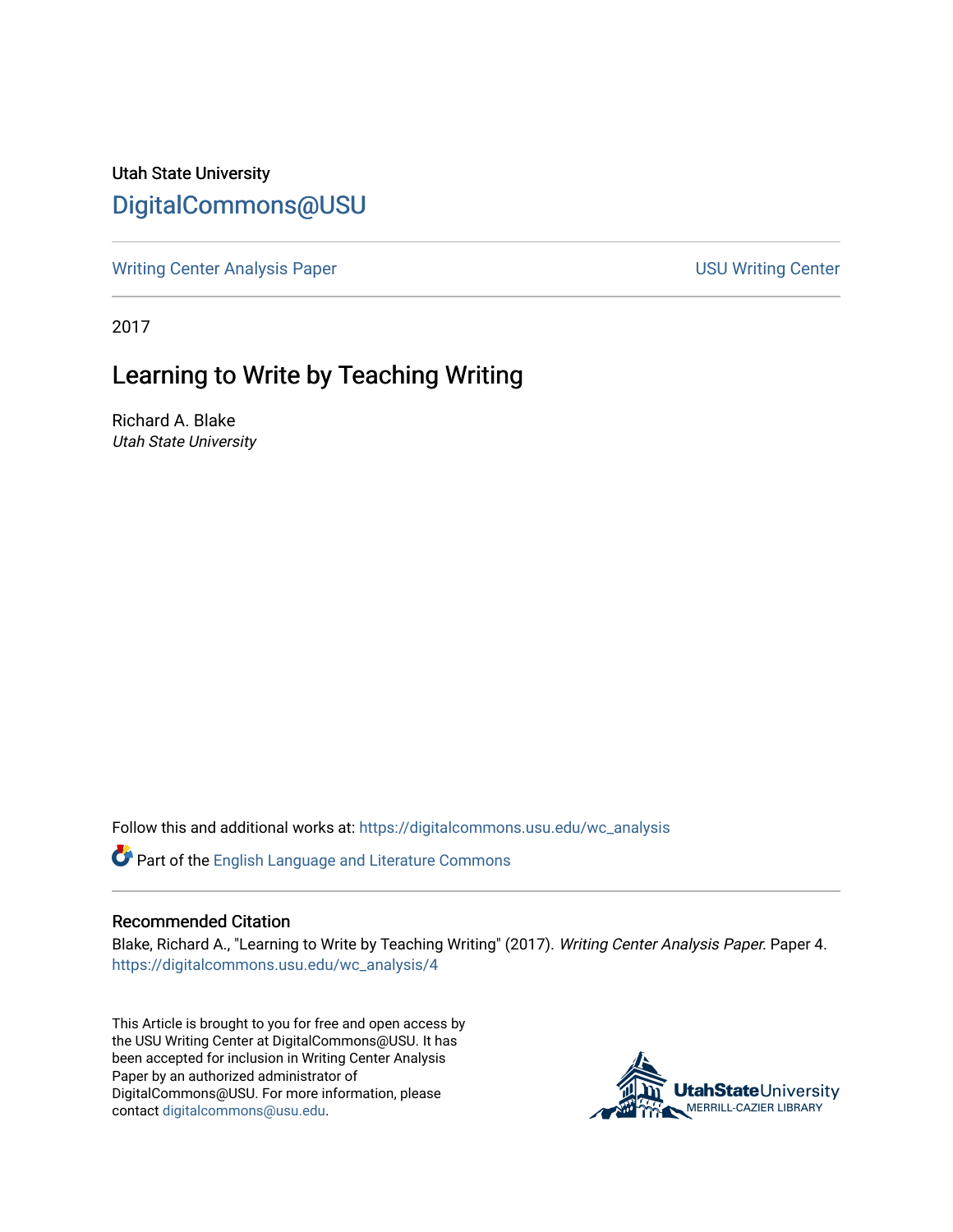Utah State University [DigitalCommons@USU](https://digitalcommons.usu.edu/)

[Writing Center Analysis Paper](https://digitalcommons.usu.edu/wc_analysis) [USU Writing Center](https://digitalcommons.usu.edu/wc) 

2017

## Learning to Write by Teaching Writing

Richard A. Blake Utah State University

Follow this and additional works at: [https://digitalcommons.usu.edu/wc\\_analysis](https://digitalcommons.usu.edu/wc_analysis?utm_source=digitalcommons.usu.edu%2Fwc_analysis%2F4&utm_medium=PDF&utm_campaign=PDFCoverPages) 

Part of the [English Language and Literature Commons](http://network.bepress.com/hgg/discipline/455?utm_source=digitalcommons.usu.edu%2Fwc_analysis%2F4&utm_medium=PDF&utm_campaign=PDFCoverPages)

## Recommended Citation

Blake, Richard A., "Learning to Write by Teaching Writing" (2017). Writing Center Analysis Paper. Paper 4. [https://digitalcommons.usu.edu/wc\\_analysis/4](https://digitalcommons.usu.edu/wc_analysis/4?utm_source=digitalcommons.usu.edu%2Fwc_analysis%2F4&utm_medium=PDF&utm_campaign=PDFCoverPages) 

This Article is brought to you for free and open access by the USU Writing Center at DigitalCommons@USU. It has been accepted for inclusion in Writing Center Analysis Paper by an authorized administrator of DigitalCommons@USU. For more information, please contact [digitalcommons@usu.edu](mailto:digitalcommons@usu.edu).

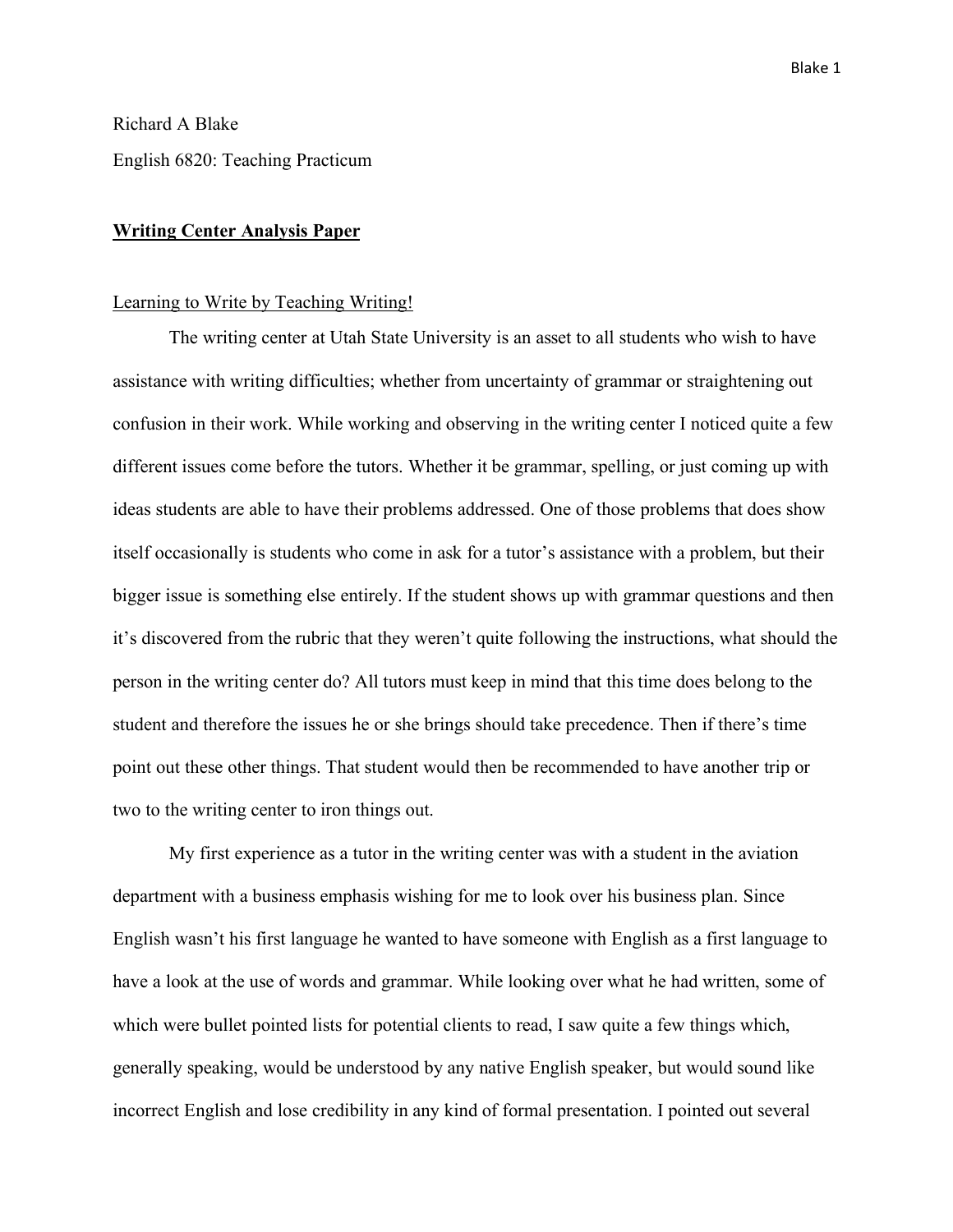Richard A Blake English 6820: Teaching Practicum

## **Writing Center Analysis Paper**

## Learning to Write by Teaching Writing!

The writing center at Utah State University is an asset to all students who wish to have assistance with writing difficulties; whether from uncertainty of grammar or straightening out confusion in their work. While working and observing in the writing center I noticed quite a few different issues come before the tutors. Whether it be grammar, spelling, or just coming up with ideas students are able to have their problems addressed. One of those problems that does show itself occasionally is students who come in ask for a tutor's assistance with a problem, but their bigger issue is something else entirely. If the student shows up with grammar questions and then it's discovered from the rubric that they weren't quite following the instructions, what should the person in the writing center do? All tutors must keep in mind that this time does belong to the student and therefore the issues he or she brings should take precedence. Then if there's time point out these other things. That student would then be recommended to have another trip or two to the writing center to iron things out.

My first experience as a tutor in the writing center was with a student in the aviation department with a business emphasis wishing for me to look over his business plan. Since English wasn't his first language he wanted to have someone with English as a first language to have a look at the use of words and grammar. While looking over what he had written, some of which were bullet pointed lists for potential clients to read, I saw quite a few things which, generally speaking, would be understood by any native English speaker, but would sound like incorrect English and lose credibility in any kind of formal presentation. I pointed out several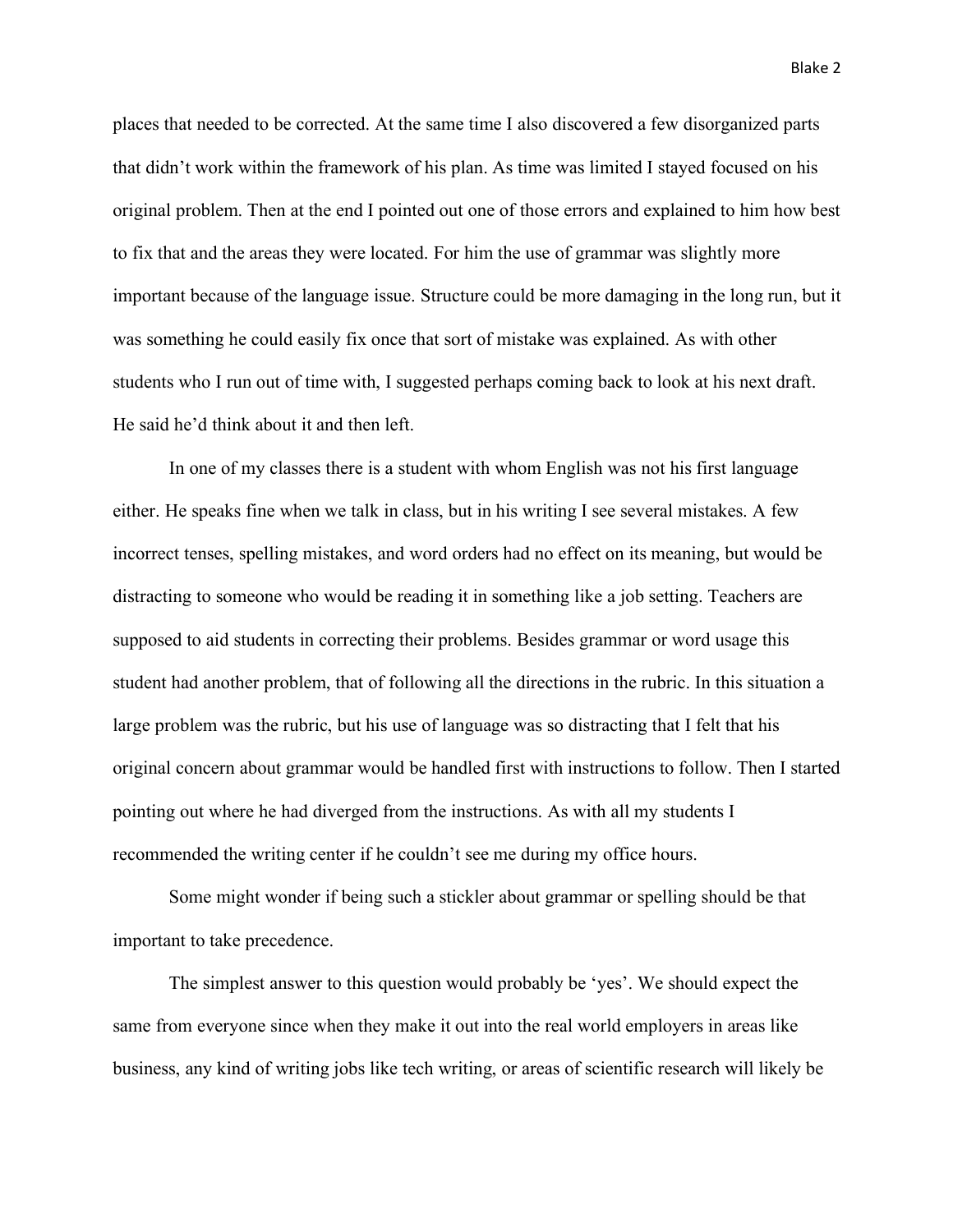places that needed to be corrected. At the same time I also discovered a few disorganized parts that didn't work within the framework of his plan. As time was limited I stayed focused on his original problem. Then at the end I pointed out one of those errors and explained to him how best to fix that and the areas they were located. For him the use of grammar was slightly more important because of the language issue. Structure could be more damaging in the long run, but it was something he could easily fix once that sort of mistake was explained. As with other students who I run out of time with, I suggested perhaps coming back to look at his next draft. He said he'd think about it and then left.

In one of my classes there is a student with whom English was not his first language either. He speaks fine when we talk in class, but in his writing I see several mistakes. A few incorrect tenses, spelling mistakes, and word orders had no effect on its meaning, but would be distracting to someone who would be reading it in something like a job setting. Teachers are supposed to aid students in correcting their problems. Besides grammar or word usage this student had another problem, that of following all the directions in the rubric. In this situation a large problem was the rubric, but his use of language was so distracting that I felt that his original concern about grammar would be handled first with instructions to follow. Then I started pointing out where he had diverged from the instructions. As with all my students I recommended the writing center if he couldn't see me during my office hours.

Some might wonder if being such a stickler about grammar or spelling should be that important to take precedence.

The simplest answer to this question would probably be 'yes'. We should expect the same from everyone since when they make it out into the real world employers in areas like business, any kind of writing jobs like tech writing, or areas of scientific research will likely be

Blake 2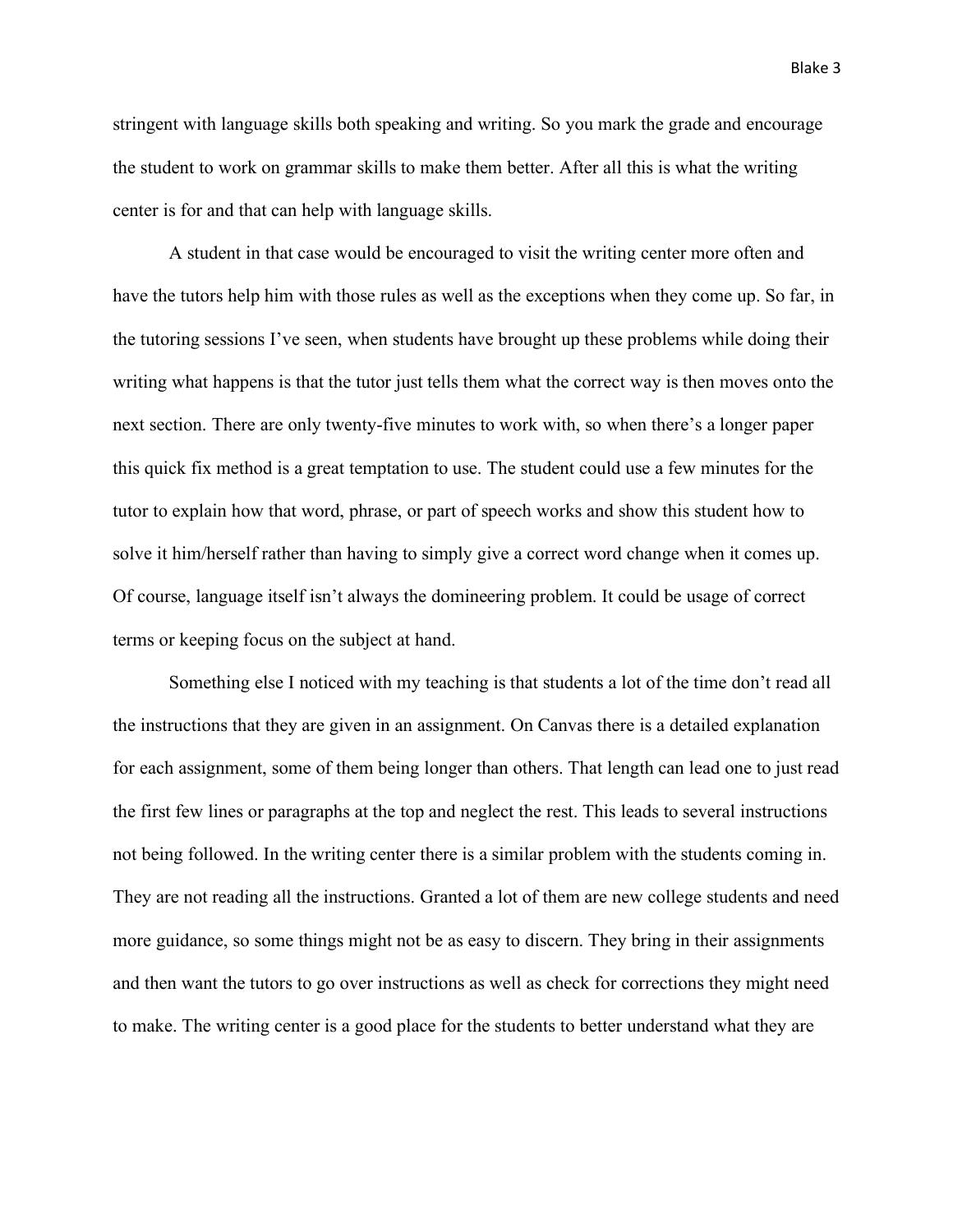stringent with language skills both speaking and writing. So you mark the grade and encourage the student to work on grammar skills to make them better. After all this is what the writing center is for and that can help with language skills.

A student in that case would be encouraged to visit the writing center more often and have the tutors help him with those rules as well as the exceptions when they come up. So far, in the tutoring sessions I've seen, when students have brought up these problems while doing their writing what happens is that the tutor just tells them what the correct way is then moves onto the next section. There are only twenty-five minutes to work with, so when there's a longer paper this quick fix method is a great temptation to use. The student could use a few minutes for the tutor to explain how that word, phrase, or part of speech works and show this student how to solve it him/herself rather than having to simply give a correct word change when it comes up. Of course, language itself isn't always the domineering problem. It could be usage of correct terms or keeping focus on the subject at hand.

Something else I noticed with my teaching is that students a lot of the time don't read all the instructions that they are given in an assignment. On Canvas there is a detailed explanation for each assignment, some of them being longer than others. That length can lead one to just read the first few lines or paragraphs at the top and neglect the rest. This leads to several instructions not being followed. In the writing center there is a similar problem with the students coming in. They are not reading all the instructions. Granted a lot of them are new college students and need more guidance, so some things might not be as easy to discern. They bring in their assignments and then want the tutors to go over instructions as well as check for corrections they might need to make. The writing center is a good place for the students to better understand what they are

Blake 3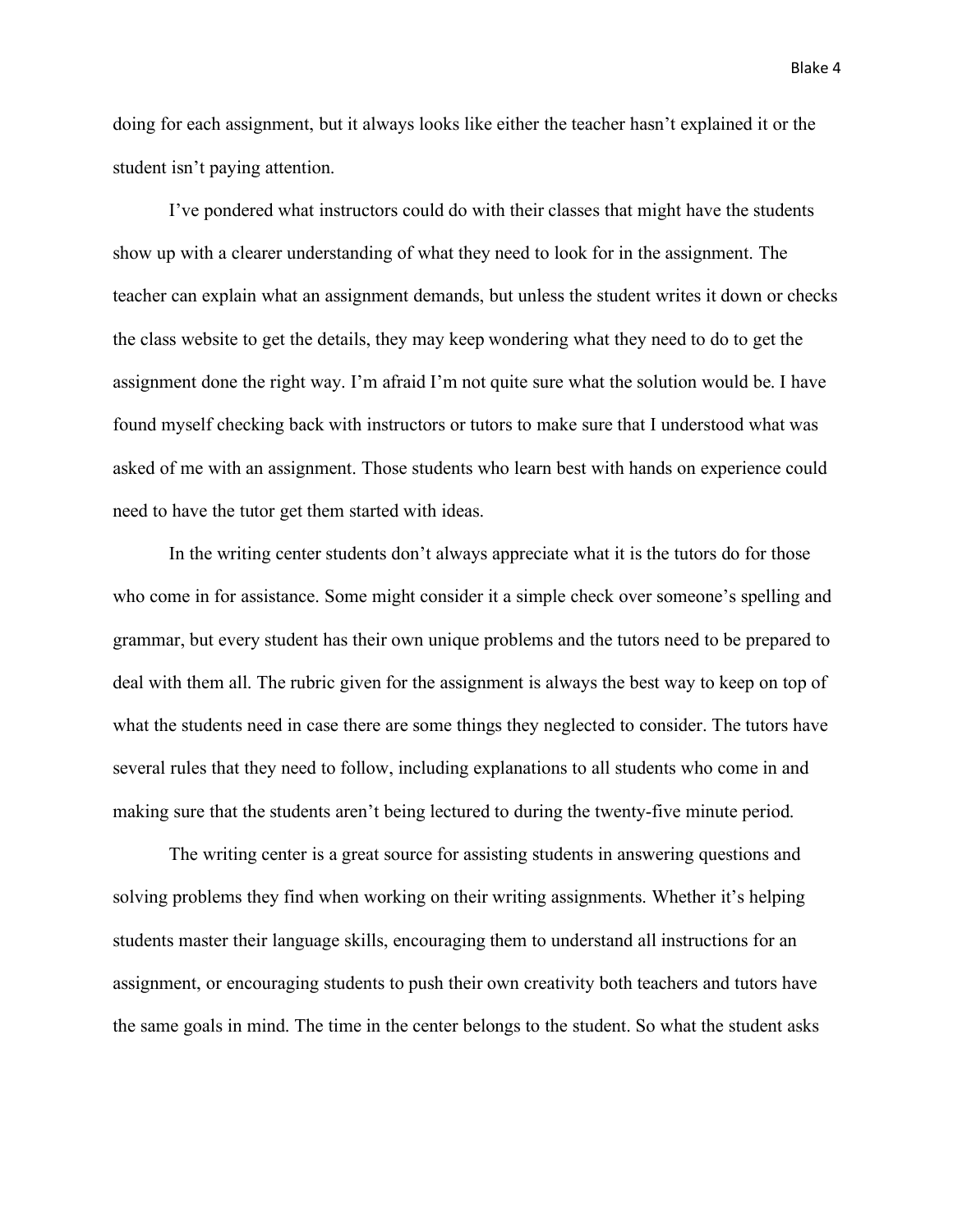doing for each assignment, but it always looks like either the teacher hasn't explained it or the student isn't paying attention.

I've pondered what instructors could do with their classes that might have the students show up with a clearer understanding of what they need to look for in the assignment. The teacher can explain what an assignment demands, but unless the student writes it down or checks the class website to get the details, they may keep wondering what they need to do to get the assignment done the right way. I'm afraid I'm not quite sure what the solution would be. I have found myself checking back with instructors or tutors to make sure that I understood what was asked of me with an assignment. Those students who learn best with hands on experience could need to have the tutor get them started with ideas.

In the writing center students don't always appreciate what it is the tutors do for those who come in for assistance. Some might consider it a simple check over someone's spelling and grammar, but every student has their own unique problems and the tutors need to be prepared to deal with them all. The rubric given for the assignment is always the best way to keep on top of what the students need in case there are some things they neglected to consider. The tutors have several rules that they need to follow, including explanations to all students who come in and making sure that the students aren't being lectured to during the twenty-five minute period.

The writing center is a great source for assisting students in answering questions and solving problems they find when working on their writing assignments. Whether it's helping students master their language skills, encouraging them to understand all instructions for an assignment, or encouraging students to push their own creativity both teachers and tutors have the same goals in mind. The time in the center belongs to the student. So what the student asks

Blake 4